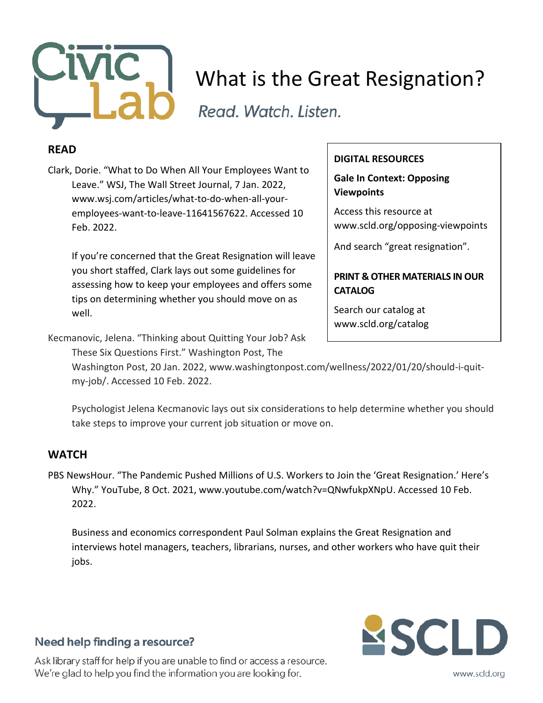

# What is the Great Resignation?

Read. Watch. Listen.

### **READ**

Clark, Dorie. "What to Do When All Your Employees Want to Leave." WSJ, The Wall Street Journal, 7 Jan. 2022, www.wsj.com/articles/what-to-do-when-all-youremployees-want-to-leave-11641567622. Accessed 10 Feb. 2022.

If you're concerned that the Great Resignation will leave you short staffed, Clark lays out some guidelines for assessing how to keep your employees and offers some tips on determining whether you should move on as well.

Kecmanovic, Jelena. "Thinking about Quitting Your Job? Ask

These Six Questions First." Washington Post, The

#### **DIGITAL RESOURCES**

**Gale In Context: Opposing Viewpoints**

Access this resource at www.scld.org/opposing-viewpoints

And search "great resignation".

#### **PRINT & OTHER MATERIALS IN OUR CATALOG**

Search our catalog at www.scld.org/catalog

Washington Post, 20 Jan. 2022, www.washingtonpost.com/wellness/2022/01/20/should-i-quitmy-job/. Accessed 10 Feb. 2022.

Psychologist Jelena Kecmanovic lays out six considerations to help determine whether you should take steps to improve your current job situation or move on.

### **WATCH**

PBS NewsHour. "The Pandemic Pushed Millions of U.S. Workers to Join the 'Great Resignation.' Here's Why." YouTube, 8 Oct. 2021, www.youtube.com/watch?v=QNwfukpXNpU. Accessed 10 Feb. 2022.

Business and economics correspondent Paul Solman explains the Great Resignation and interviews hotel managers, teachers, librarians, nurses, and other workers who have quit their jobs.



### Need help finding a resource?

Ask library staff for help if you are unable to find or access a resource. We're glad to help you find the information you are looking for.

www.scld.org